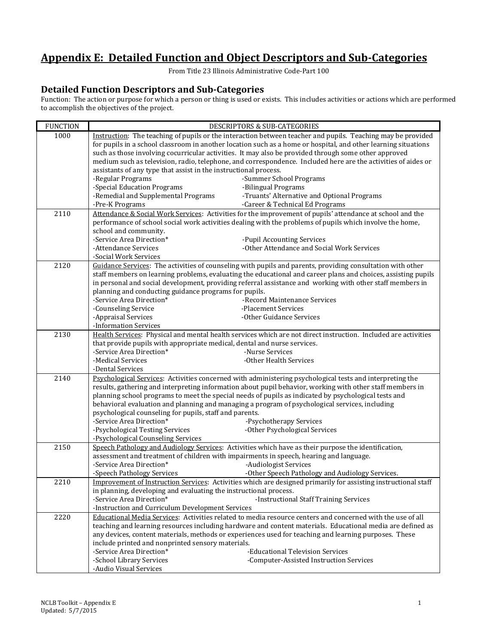## **Appendix E: Detailed Function and Object Descriptors and Sub-Categories**

From Title 23 Illinois Administrative Code-Part 100

## **Detailed Function Descriptors and Sub-Categories**

Function: The action or purpose for which a person or thing is used or exists. This includes activities or actions which are performed to accomplish the objectives of the project.

| <b>FUNCTION</b> | DESCRIPTORS & SUB-CATEGORIES                                                                                                                              |  |  |  |  |
|-----------------|-----------------------------------------------------------------------------------------------------------------------------------------------------------|--|--|--|--|
| 1000            | Instruction: The teaching of pupils or the interaction between teacher and pupils. Teaching may be provided                                               |  |  |  |  |
|                 | for pupils in a school classroom in another location such as a home or hospital, and other learning situations                                            |  |  |  |  |
|                 | such as those involving cocurricular activities. It may also be provided through some other approved                                                      |  |  |  |  |
|                 | medium such as television, radio, telephone, and correspondence. Included here are the activities of aides or                                             |  |  |  |  |
|                 | assistants of any type that assist in the instructional process.                                                                                          |  |  |  |  |
|                 | -Regular Programs<br>-Summer School Programs                                                                                                              |  |  |  |  |
|                 | -Special Education Programs<br>-Bilingual Programs                                                                                                        |  |  |  |  |
|                 | -Remedial and Supplemental Programs<br>-Truants' Alternative and Optional Programs                                                                        |  |  |  |  |
|                 | -Pre-K Programs<br>-Career & Technical Ed Programs                                                                                                        |  |  |  |  |
| 2110            | Attendance & Social Work Services: Activities for the improvement of pupils' attendance at school and the                                                 |  |  |  |  |
|                 | performance of school social work activities dealing with the problems of pupils which involve the home,<br>school and community.                         |  |  |  |  |
|                 | -Service Area Direction*<br>-Pupil Accounting Services                                                                                                    |  |  |  |  |
|                 | -Attendance Services<br>-Other Attendance and Social Work Services                                                                                        |  |  |  |  |
|                 | -Social Work Services                                                                                                                                     |  |  |  |  |
| 2120            | Guidance Services: The activities of counseling with pupils and parents, providing consultation with other                                                |  |  |  |  |
|                 | staff members on learning problems, evaluating the educational and career plans and choices, assisting pupils                                             |  |  |  |  |
|                 | in personal and social development, providing referral assistance and working with other staff members in                                                 |  |  |  |  |
|                 | planning and conducting guidance programs for pupils.                                                                                                     |  |  |  |  |
|                 | -Service Area Direction*<br>-Record Maintenance Services                                                                                                  |  |  |  |  |
|                 | -Placement Services<br>-Counseling Service                                                                                                                |  |  |  |  |
|                 | -Appraisal Services<br>-Other Guidance Services                                                                                                           |  |  |  |  |
|                 | -Information Services                                                                                                                                     |  |  |  |  |
| 2130            | Health Services: Physical and mental health services which are not direct instruction. Included are activities                                            |  |  |  |  |
|                 | that provide pupils with appropriate medical, dental and nurse services.                                                                                  |  |  |  |  |
|                 | -Service Area Direction*<br>-Nurse Services                                                                                                               |  |  |  |  |
|                 | -Medical Services<br>-Other Health Services                                                                                                               |  |  |  |  |
|                 | -Dental Services                                                                                                                                          |  |  |  |  |
| 2140            | Psychological Services: Activities concerned with administering psychological tests and interpreting the                                                  |  |  |  |  |
|                 | results, gathering and interpreting information about pupil behavior, working with other staff members in                                                 |  |  |  |  |
|                 | planning school programs to meet the special needs of pupils as indicated by psychological tests and                                                      |  |  |  |  |
|                 | behavioral evaluation and planning and managing a program of psychological services, including<br>psychological counseling for pupils, staff and parents. |  |  |  |  |
|                 | -Service Area Direction*<br>-Psychotherapy Services                                                                                                       |  |  |  |  |
|                 | -Other Psychological Services<br>-Psychological Testing Services                                                                                          |  |  |  |  |
|                 | -Psychological Counseling Services                                                                                                                        |  |  |  |  |
| 2150            | Speech Pathology and Audiology Services: Activities which have as their purpose the identification,                                                       |  |  |  |  |
|                 | assessment and treatment of children with impairments in speech, hearing and language.                                                                    |  |  |  |  |
|                 | -Service Area Direction*<br>-Audiologist Services                                                                                                         |  |  |  |  |
|                 | -Speech Pathology Services<br>-Other Speech Pathology and Audiology Services.                                                                             |  |  |  |  |
| 2210            | Improvement of Instruction Services: Activities which are designed primarily for assisting instructional staff                                            |  |  |  |  |
|                 | in planning, developing and evaluating the instructional process.                                                                                         |  |  |  |  |
|                 | -Service Area Direction*<br>-Instructional Staff Training Services                                                                                        |  |  |  |  |
|                 | -Instruction and Curriculum Development Services                                                                                                          |  |  |  |  |
| 2220            | Educational Media Services: Activities related to media resource centers and concerned with the use of all                                                |  |  |  |  |
|                 | teaching and learning resources including hardware and content materials. Educational media are defined as                                                |  |  |  |  |
|                 | any devices, content materials, methods or experiences used for teaching and learning purposes. These                                                     |  |  |  |  |
|                 | include printed and nonprinted sensory materials.                                                                                                         |  |  |  |  |
|                 | -Educational Television Services<br>-Service Area Direction*                                                                                              |  |  |  |  |
|                 | -School Library Services<br>-Computer-Assisted Instruction Services                                                                                       |  |  |  |  |
|                 | -Audio Visual Services                                                                                                                                    |  |  |  |  |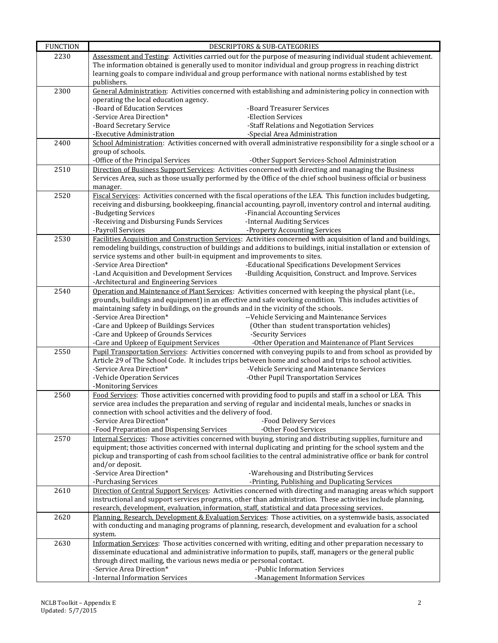| <b>FUNCTION</b> | DESCRIPTORS & SUB-CATEGORIES                                                                                                                                                                                              |  |  |  |
|-----------------|---------------------------------------------------------------------------------------------------------------------------------------------------------------------------------------------------------------------------|--|--|--|
| 2230            | Assessment and Testing: Activities carried out for the purpose of measuring individual student achievement.                                                                                                               |  |  |  |
|                 | The information obtained is generally used to monitor individual and group progress in reaching district                                                                                                                  |  |  |  |
|                 | learning goals to compare individual and group performance with national norms established by test                                                                                                                        |  |  |  |
|                 | publishers.                                                                                                                                                                                                               |  |  |  |
| 2300            | General Administration: Activities concerned with establishing and administering policy in connection with<br>operating the local education agency.                                                                       |  |  |  |
|                 | -Board of Education Services<br>-Board Treasurer Services                                                                                                                                                                 |  |  |  |
|                 | -Service Area Direction*<br>-Election Services                                                                                                                                                                            |  |  |  |
|                 | -Staff Relations and Negotiation Services<br>-Board Secretary Service                                                                                                                                                     |  |  |  |
|                 | -Executive Administration<br>-Special Area Administration                                                                                                                                                                 |  |  |  |
| 2400            | School Administration: Activities concerned with overall administrative responsibility for a single school or a                                                                                                           |  |  |  |
|                 | group of schools.                                                                                                                                                                                                         |  |  |  |
|                 | -Office of the Principal Services<br>-Other Support Services-School Administration                                                                                                                                        |  |  |  |
| 2510            | Direction of Business Support Services: Activities concerned with directing and managing the Business                                                                                                                     |  |  |  |
|                 | Services Area, such as those usually performed by the Office of the chief school business official or business<br>manager.                                                                                                |  |  |  |
| 2520            | Fiscal Services: Activities concerned with the fiscal operations of the LEA. This function includes budgeting,                                                                                                            |  |  |  |
|                 | receiving and disbursing, bookkeeping, financial accounting, payroll, inventory control and internal auditing.                                                                                                            |  |  |  |
|                 | -Financial Accounting Services<br>-Budgeting Services                                                                                                                                                                     |  |  |  |
|                 | -Receiving and Disbursing Funds Services<br>-Internal Auditing Services                                                                                                                                                   |  |  |  |
|                 | -Payroll Services<br>-Property Accounting Services                                                                                                                                                                        |  |  |  |
| 2530            | Facilities Acquisition and Construction Services: Activities concerned with acquisition of land and buildings,                                                                                                            |  |  |  |
|                 | remodeling buildings, construction of buildings and additions to buildings, initial installation or extension of                                                                                                          |  |  |  |
|                 | service systems and other built-in equipment and improvements to sites.                                                                                                                                                   |  |  |  |
|                 | -Service Area Direction*<br>-Educational Specifications Development Services<br>-Land Acquisition and Development Services<br>-Building Acquisition, Construct. and Improve. Services                                     |  |  |  |
|                 | -Architectural and Engineering Services                                                                                                                                                                                   |  |  |  |
| 2540            | Operation and Maintenance of Plant Services: Activities concerned with keeping the physical plant (i.e.,                                                                                                                  |  |  |  |
|                 | grounds, buildings and equipment) in an effective and safe working condition. This includes activities of                                                                                                                 |  |  |  |
|                 | maintaining safety in buildings, on the grounds and in the vicinity of the schools.                                                                                                                                       |  |  |  |
|                 | -Service Area Direction*<br>--Vehicle Servicing and Maintenance Services                                                                                                                                                  |  |  |  |
|                 | -Care and Upkeep of Buildings Services<br>(Other than student transportation vehicles)                                                                                                                                    |  |  |  |
|                 | -Care and Upkeep of Grounds Services<br>-Security Services                                                                                                                                                                |  |  |  |
| 2550            | -Care and Upkeep of Equipment Services<br>-Other Operation and Maintenance of Plant Services<br>Pupil Transportation Services: Activities concerned with conveying pupils to and from school as provided by               |  |  |  |
|                 | Article 29 of The School Code. It includes trips between home and school and trips to school activities.                                                                                                                  |  |  |  |
|                 | -Service Area Direction*<br>-Vehicle Servicing and Maintenance Services                                                                                                                                                   |  |  |  |
|                 | -Vehicle Operation Services<br>-Other Pupil Transportation Services                                                                                                                                                       |  |  |  |
|                 | -Monitoring Services                                                                                                                                                                                                      |  |  |  |
| 2560            | Food Services: Those activities concerned with providing food to pupils and staff in a school or LEA. This                                                                                                                |  |  |  |
|                 | service area includes the preparation and serving of regular and incidental meals, lunches or snacks in                                                                                                                   |  |  |  |
|                 | connection with school activities and the delivery of food.<br>-Service Area Direction*                                                                                                                                   |  |  |  |
|                 | -Food Delivery Services<br>-Food Preparation and Dispensing Services<br>-Other Food Services                                                                                                                              |  |  |  |
| 2570            | Internal Services: Those activities concerned with buying, storing and distributing supplies, furniture and                                                                                                               |  |  |  |
|                 | equipment; those activities concerned with internal duplicating and printing for the school system and the                                                                                                                |  |  |  |
|                 | pickup and transporting of cash from school facilities to the central administrative office or bank for control                                                                                                           |  |  |  |
|                 | and/or deposit.                                                                                                                                                                                                           |  |  |  |
|                 | -Service Area Direction*<br>-Warehousing and Distributing Services                                                                                                                                                        |  |  |  |
|                 | -Purchasing Services<br>-Printing, Publishing and Duplicating Services                                                                                                                                                    |  |  |  |
| 2610            | Direction of Central Support Services: Activities concerned with directing and managing areas which support<br>instructional and support services programs, other than administration. These activities include planning, |  |  |  |
|                 | research, development, evaluation, information, staff, statistical and data processing services.                                                                                                                          |  |  |  |
| 2620            | Planning, Research, Development & Evaluation Services: Those activities, on a systemwide basis, associated                                                                                                                |  |  |  |
|                 | with conducting and managing programs of planning, research, development and evaluation for a school                                                                                                                      |  |  |  |
|                 | system.                                                                                                                                                                                                                   |  |  |  |
| 2630            | Information Services: Those activities concerned with writing, editing and other preparation necessary to                                                                                                                 |  |  |  |
|                 | disseminate educational and administrative information to pupils, staff, managers or the general public                                                                                                                   |  |  |  |
|                 | through direct mailing, the various news media or personal contact.                                                                                                                                                       |  |  |  |
|                 | -Service Area Direction*<br>-Public Information Services                                                                                                                                                                  |  |  |  |
|                 | -Internal Information Services<br>-Management Information Services                                                                                                                                                        |  |  |  |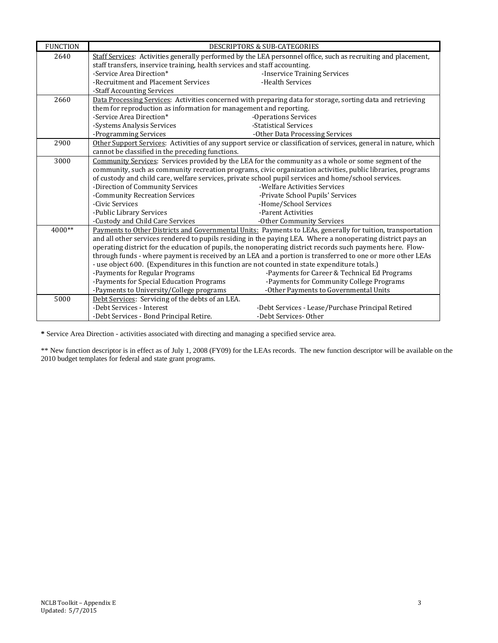| <b>FUNCTION</b> | DESCRIPTORS & SUB-CATEGORIES                                                                                                                                                      |                                                                                                             |  |  |  |
|-----------------|-----------------------------------------------------------------------------------------------------------------------------------------------------------------------------------|-------------------------------------------------------------------------------------------------------------|--|--|--|
| 2640            | Staff Services: Activities generally performed by the LEA personnel office, such as recruiting and placement,                                                                     |                                                                                                             |  |  |  |
|                 | staff transfers, inservice training, health services and staff accounting.                                                                                                        |                                                                                                             |  |  |  |
|                 | -Service Area Direction*                                                                                                                                                          | -Inservice Training Services                                                                                |  |  |  |
|                 | -Recruitment and Placement Services                                                                                                                                               | -Health Services                                                                                            |  |  |  |
|                 | -Staff Accounting Services                                                                                                                                                        |                                                                                                             |  |  |  |
| 2660            | Data Processing Services: Activities concerned with preparing data for storage, sorting data and retrieving<br>them for reproduction as information for management and reporting. |                                                                                                             |  |  |  |
|                 |                                                                                                                                                                                   |                                                                                                             |  |  |  |
|                 | -Service Area Direction*                                                                                                                                                          | -Operations Services                                                                                        |  |  |  |
|                 | -Systems Analysis Services                                                                                                                                                        | -Statistical Services                                                                                       |  |  |  |
|                 | -Programming Services                                                                                                                                                             | -Other Data Processing Services                                                                             |  |  |  |
| 2900            | Other Support Services: Activities of any support service or classification of services, general in nature, which                                                                 |                                                                                                             |  |  |  |
|                 | cannot be classified in the preceding functions.                                                                                                                                  |                                                                                                             |  |  |  |
| 3000            |                                                                                                                                                                                   | Community Services: Services provided by the LEA for the community as a whole or some segment of the        |  |  |  |
|                 | community, such as community recreation programs, civic organization activities, public libraries, programs                                                                       |                                                                                                             |  |  |  |
|                 |                                                                                                                                                                                   | of custody and child care, welfare services, private school pupil services and home/school services.        |  |  |  |
|                 | -Direction of Community Services                                                                                                                                                  | -Welfare Activities Services                                                                                |  |  |  |
|                 | -Community Recreation Services                                                                                                                                                    | -Private School Pupils' Services                                                                            |  |  |  |
|                 | -Civic Services                                                                                                                                                                   | -Home/School Services                                                                                       |  |  |  |
|                 | -Public Library Services                                                                                                                                                          | -Parent Activities                                                                                          |  |  |  |
|                 | -Custody and Child Care Services                                                                                                                                                  | -Other Community Services                                                                                   |  |  |  |
| $4000**$        |                                                                                                                                                                                   | Payments to Other Districts and Governmental Units: Payments to LEAs, generally for tuition, transportation |  |  |  |
|                 |                                                                                                                                                                                   | and all other services rendered to pupils residing in the paying LEA. Where a nonoperating district pays an |  |  |  |
|                 |                                                                                                                                                                                   | operating district for the education of pupils, the nonoperating district records such payments here. Flow- |  |  |  |
|                 |                                                                                                                                                                                   | through funds - where payment is received by an LEA and a portion is transferred to one or more other LEAs  |  |  |  |
|                 | - use object 600. (Expenditures in this function are not counted in state expenditure totals.)                                                                                    |                                                                                                             |  |  |  |
|                 | -Payments for Regular Programs                                                                                                                                                    | -Payments for Career & Technical Ed Programs                                                                |  |  |  |
|                 | -Payments for Special Education Programs                                                                                                                                          | -Payments for Community College Programs                                                                    |  |  |  |
|                 | -Payments to University/College programs                                                                                                                                          | -Other Payments to Governmental Units                                                                       |  |  |  |
| 5000            | Debt Services: Servicing of the debts of an LEA.                                                                                                                                  |                                                                                                             |  |  |  |
|                 | -Debt Services - Interest                                                                                                                                                         | -Debt Services - Lease/Purchase Principal Retired                                                           |  |  |  |
|                 | -Debt Services - Bond Principal Retire.                                                                                                                                           | -Debt Services-Other                                                                                        |  |  |  |

**\*** Service Area Direction - activities associated with directing and managing a specified service area.

\*\* New function descriptor is in effect as of July 1, 2008 (FY09) for the LEAs records. The new function descriptor will be available on the 2010 budget templates for federal and state grant programs.